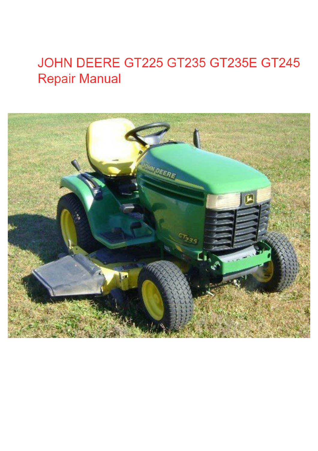# JOHN DEERE GT225 GT235 GT235E GT245 **Repair Manual**

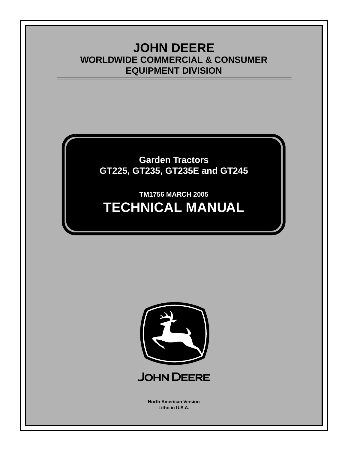## **JOHN DEERE WORLDWIDE COMMERCIAL & CONSUMER EQUIPMENT DIVISION**

**Garden Tractors GT225, GT235, GT235E and GT245**

## **TM1756 MARCH 2005 TECHNICAL MANUAL**



**North American Version Litho in U.S.A.**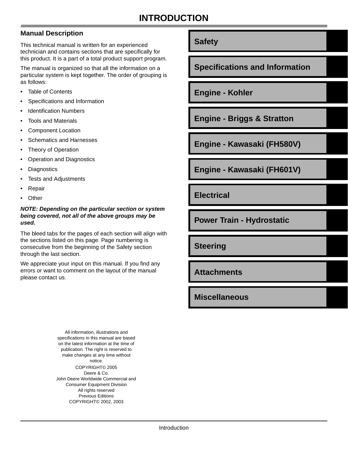#### **Manual Description**

This technical manual is written for an experienced technician and contains sections that are specifically for this product. It is a part of a total product support program.

The manual is organized so that all the information on a particular system is kept together. The order of grouping is as follows:

- Table of Contents
- Specifications and Information
- **Identification Numbers**
- Tools and Materials
- Component Location
- Schematics and Harnesses
- **Theory of Operation**
- Operation and Diagnostics
- **Diagnostics**
- **Tests and Adjustments**
- **Repair**
- **Other**

#### *NOTE: Depending on the particular section or system being covered, not all of the above groups may be used.*

The bleed tabs for the pages of each section will align with the sections listed on this page. Page numbering is consecutive from the beginning of the Safety section through the last section.

We appreciate your input on this manual. If you find any errors or want to comment on the layout of the manual please contact us.

> All information, illustrations and specifications in this manual are based on the latest information at the time of publication. The right is reserved to make changes at any time without notice. COPYRIGHT© 2005 Deere & Co. John Deere Worldwide Commercial and Consumer Equipment Division All rights reserved Previous Editions COPYRIGHT© 2002, 2003

**Safety**

**Specifications and Information**

**Engine - Kohler**

**Engine - Briggs & Stratton**

**Engine - Kawasaki (FH580V)**

**Engine - Kawasaki (FH601V)**

**Electrical**

**Power Train - Hydrostatic**

**Steering**

**Attachments**

**Miscellaneous**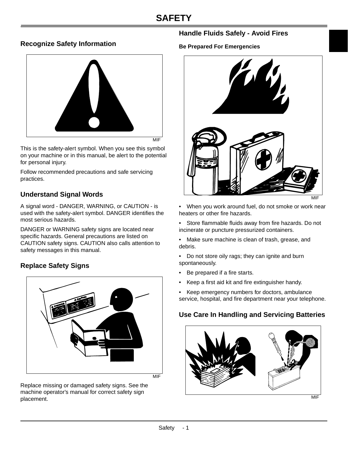## **Recognize Safety Information**



This is the safety-alert symbol. When you see this symbol on your machine or in this manual, be alert to the potential for personal injury.

Follow recommended precautions and safe servicing practices.

#### **Understand Signal Words**

A signal word - DANGER, WARNING, or CAUTION - is used with the safety-alert symbol. DANGER identifies the most serious hazards.

DANGER or WARNING safety signs are located near specific hazards. General precautions are listed on CAUTION safety signs. CAUTION also calls attention to safety messages in this manual.

## **Replace Safety Signs**



Replace missing or damaged safety signs. See the machine operator's manual for correct safety sign placement.

#### **Handle Fluids Safely - Avoid Fires**

**Be Prepared For Emergencies**



- When you work around fuel, do not smoke or work near heaters or other fire hazards.
- Store flammable fluids away from fire hazards. Do not incinerate or puncture pressurized containers.
- Make sure machine is clean of trash, grease, and debris.
- Do not store oily rags; they can ignite and burn spontaneously.
- Be prepared if a fire starts.
- Keep a first aid kit and fire extinguisher handy.

• Keep emergency numbers for doctors, ambulance service, hospital, and fire department near your telephone.

## **Use Care In Handling and Servicing Batteries**



MIF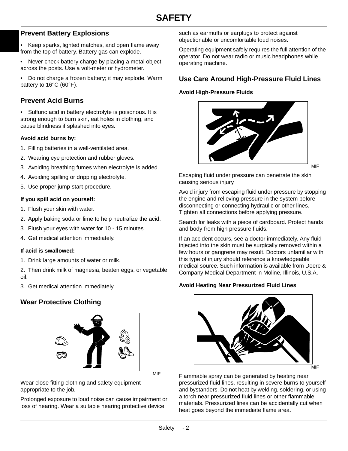## **Prevent Battery Explosions**

- Keep sparks, lighted matches, and open flame away from the top of battery. Battery gas can explode.
- Never check battery charge by placing a metal object across the posts. Use a volt-meter or hydrometer.
- Do not charge a frozen battery; it may explode. Warm battery to 16°C (60°F).

#### **Prevent Acid Burns**

• Sulfuric acid in battery electrolyte is poisonous. It is strong enough to burn skin, eat holes in clothing, and cause blindness if splashed into eyes.

#### **Avoid acid burns by:**

- 1. Filling batteries in a well-ventilated area.
- 2. Wearing eye protection and rubber gloves.
- 3. Avoiding breathing fumes when electrolyte is added.
- 4. Avoiding spilling or dripping electrolyte.
- 5. Use proper jump start procedure.

#### **If you spill acid on yourself:**

- 1. Flush your skin with water.
- 2. Apply baking soda or lime to help neutralize the acid.
- 3. Flush your eyes with water for 10 15 minutes.
- 4. Get medical attention immediately.

#### **If acid is swallowed:**

- 1. Drink large amounts of water or milk.
- 2. Then drink milk of magnesia, beaten eggs, or vegetable oil.
- 3. Get medical attention immediately.

## **Wear Protective Clothing**



MIF

Wear close fitting clothing and safety equipment appropriate to the job.

Prolonged exposure to loud noise can cause impairment or loss of hearing. Wear a suitable hearing protective device

such as earmuffs or earplugs to protect against objectionable or uncomfortable loud noises.

Operating equipment safely requires the full attention of the operator. Do not wear radio or music headphones while operating machine.

#### **Use Care Around High-Pressure Fluid Lines**

#### **Avoid High-Pressure Fluids**



Escaping fluid under pressure can penetrate the skin causing serious injury.

Avoid injury from escaping fluid under pressure by stopping the engine and relieving pressure in the system before disconnecting or connecting hydraulic or other lines. Tighten all connections before applying pressure.

Search for leaks with a piece of cardboard. Protect hands and body from high pressure fluids.

If an accident occurs, see a doctor immediately. Any fluid injected into the skin must be surgically removed within a few hours or gangrene may result. Doctors unfamiliar with this type of injury should reference a knowledgeable medical source. Such information is available from Deere & Company Medical Department in Moline, Illinois, U.S.A.

#### **Avoid Heating Near Pressurized Fluid Lines**



Flammable spray can be generated by heating near pressurized fluid lines, resulting in severe burns to yourself and bystanders. Do not heat by welding, soldering, or using a torch near pressurized fluid lines or other flammable materials. Pressurized lines can be accidentally cut when heat goes beyond the immediate flame area.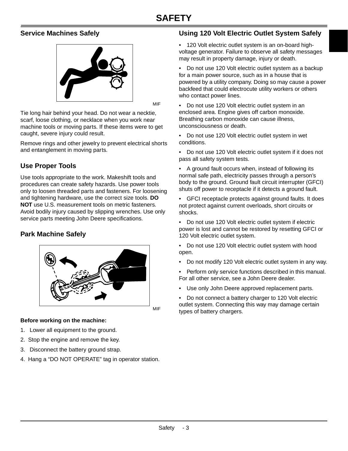## **Service Machines Safely**



MIF

Tie long hair behind your head. Do not wear a necktie, scarf, loose clothing, or necklace when you work near machine tools or moving parts. If these items were to get caught, severe injury could result.

Remove rings and other jewelry to prevent electrical shorts and entanglement in moving parts.

## **Use Proper Tools**

Use tools appropriate to the work. Makeshift tools and procedures can create safety hazards. Use power tools only to loosen threaded parts and fasteners. For loosening and tightening hardware, use the correct size tools. **DO NOT** use U.S. measurement tools on metric fasteners. Avoid bodily injury caused by slipping wrenches. Use only service parts meeting John Deere specifications.

## **Park Machine Safely**



**Before working on the machine:**

- 1. Lower all equipment to the ground.
- 2. Stop the engine and remove the key.
- 3. Disconnect the battery ground strap.
- 4. Hang a "DO NOT OPERATE" tag in operator station.

## **Using 120 Volt Electric Outlet System Safely**

• 120 Volt electric outlet system is an on-board highvoltage generator. Failure to observe all safety messages may result in property damage, injury or death.

• Do not use 120 Volt electric outlet system as a backup for a main power source, such as in a house that is powered by a utility company. Doing so may cause a power backfeed that could electrocute utility workers or others who contact power lines.

Do not use 120 Volt electric outlet system in an enclosed area. Engine gives off carbon monoxide. Breathing carbon monoxide can cause illness, unconsciousness or death.

- Do not use 120 Volt electric outlet system in wet conditions.
- Do not use 120 Volt electric outlet system if it does not pass all safety system tests.
- A ground fault occurs when, instead of following its normal safe path, electricity passes through a person's body to the ground. Ground fault circuit interrupter (GFCI) shuts off power to receptacle if it detects a ground fault.
- GFCI receptacle protects against ground faults. It does not protect against current overloads, short circuits or shocks.
- Do not use 120 Volt electric outlet system if electric power is lost and cannot be restored by resetting GFCI or 120 Volt electric outlet system.
- Do not use 120 Volt electric outlet system with hood open.
- Do not modify 120 Volt electric outlet system in any way.
- Perform only service functions described in this manual. For all other service, see a John Deere dealer.
- Use only John Deere approved replacement parts.

• Do not connect a battery charger to 120 Volt electric outlet system. Connecting this way may damage certain types of battery chargers.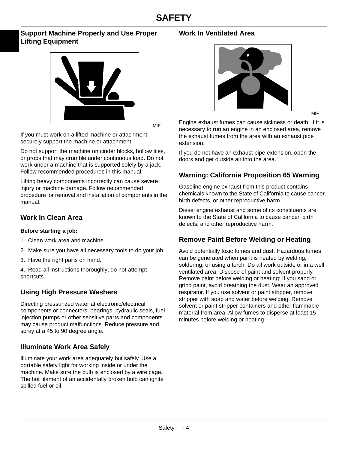#### **Support Machine Properly and Use Proper Lifting Equipment**



MIF

If you must work on a lifted machine or attachment, securely support the machine or attachment.

Do not support the machine on cinder blocks, hollow tiles, or props that may crumble under continuous load. Do not work under a machine that is supported solely by a jack. Follow recommended procedures in this manual.

Lifting heavy components incorrectly can cause severe injury or machine damage. Follow recommended procedure for removal and installation of components in the manual.

## **Work In Clean Area**

#### **Before starting a job:**

- 1. Clean work area and machine.
- 2. Make sure you have all necessary tools to do your job.
- 3. Have the right parts on hand.

4. Read all instructions thoroughly; do not attempt shortcuts.

## **Using High Pressure Washers**

Directing pressurized water at electronic/electrical components or connectors, bearings, hydraulic seals, fuel injection pumps or other sensitive parts and components may cause product malfunctions. Reduce pressure and spray at a 45 to 90 degree angle.

## **Illuminate Work Area Safely**

Illuminate your work area adequately but safely. Use a portable safety light for working inside or under the machine. Make sure the bulb is enclosed by a wire cage. The hot filament of an accidentally broken bulb can ignite spilled fuel or oil.

#### **Work In Ventilated Area**



MIF

Engine exhaust fumes can cause sickness or death. If it is necessary to run an engine in an enclosed area, remove the exhaust fumes from the area with an exhaust pipe extension.

If you do not have an exhaust pipe extension, open the doors and get outside air into the area.

## **Warning: California Proposition 65 Warning**

Gasoline engine exhaust from this product contains chemicals known to the State of California to cause cancer, birth defects, or other reproductive harm.

Diesel engine exhaust and some of its constituents are known to the State of California to cause cancer, birth defects, and other reproductive harm.

## **Remove Paint Before Welding or Heating**

Avoid potentially toxic fumes and dust. Hazardous fumes can be generated when paint is heated by welding, soldering, or using a torch. Do all work outside or in a well ventilated area. Dispose of paint and solvent properly. Remove paint before welding or heating: If you sand or grind paint, avoid breathing the dust. Wear an approved respirator. If you use solvent or paint stripper, remove stripper with soap and water before welding. Remove solvent or paint stripper containers and other flammable material from area. Allow fumes to disperse at least 15 minutes before welding or heating.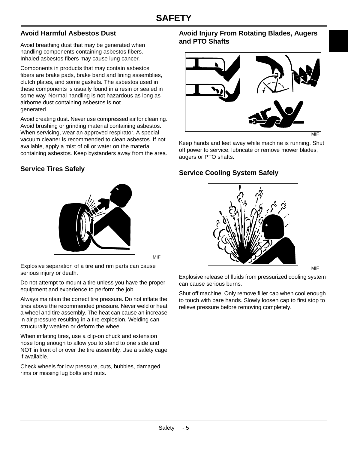## **Avoid Harmful Asbestos Dust**

Avoid breathing dust that may be generated when handling components containing asbestos fibers. Inhaled asbestos fibers may cause lung cancer.

Components in products that may contain asbestos fibers are brake pads, brake band and lining assemblies, clutch plates, and some gaskets. The asbestos used in these components is usually found in a resin or sealed in some way. Normal handling is not hazardous as long as airborne dust containing asbestos is not generated.

Avoid creating dust. Never use compressed air for cleaning. Avoid brushing or grinding material containing asbestos. When servicing, wear an approved respirator. A special vacuum cleaner is recommended to clean asbestos. If not available, apply a mist of oil or water on the material containing asbestos. Keep bystanders away from the area.

## **Service Tires Safely**



MIF

Explosive separation of a tire and rim parts can cause serious injury or death.

Do not attempt to mount a tire unless you have the proper equipment and experience to perform the job.

Always maintain the correct tire pressure. Do not inflate the tires above the recommended pressure. Never weld or heat a wheel and tire assembly. The heat can cause an increase in air pressure resulting in a tire explosion. Welding can structurally weaken or deform the wheel.

When inflating tires, use a clip-on chuck and extension hose long enough to allow you to stand to one side and NOT in front of or over the tire assembly. Use a safety cage if available.

Check wheels for low pressure, cuts, bubbles, damaged rims or missing lug bolts and nuts.

#### **Avoid Injury From Rotating Blades, Augers and PTO Shafts**



Keep hands and feet away while machine is running. Shut off power to service, lubricate or remove mower blades, augers or PTO shafts.

## **Service Cooling System Safely**



MIF

Explosive release of fluids from pressurized cooling system can cause serious burns.

Shut off machine. Only remove filler cap when cool enough to touch with bare hands. Slowly loosen cap to first stop to relieve pressure before removing completely.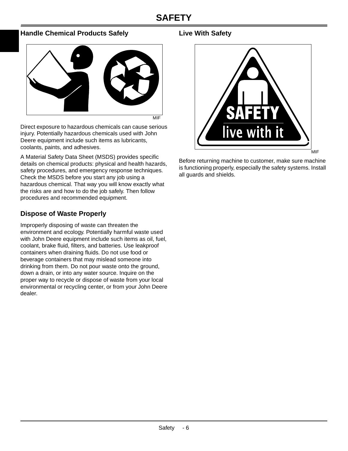## **SAFET**

## **Handle Chemical Products Safely**



Direct exposure to hazardous chemicals can cause serious injury. Potentially hazardous chemicals used with John Deere equipment include such items as lubricants, coolants, paints, and adhesives.

A Material Safety Data Sheet (MSDS) provides specific details on chemical products: physical and health hazards, safety procedures, and emergency response techniques. Check the MSDS before you start any job using a hazardous chemical. That way you will know exactly what the risks are and how to do the job safely. Then follow procedures and recommended equipment.

## **Dispose of Waste Properly**

Improperly disposing of waste can threaten the environment and ecology. Potentially harmful waste used with John Deere equipment include such items as oil, fuel, coolant, brake fluid, filters, and batteries. Use leakproof containers when draining fluids. Do not use food or beverage containers that may mislead someone into drinking from them. Do not pour waste onto the ground, down a drain, or into any water source. Inquire on the proper way to recycle or dispose of waste from your local environmental or recycling center, or from your John Deere dealer.

#### **Live With Safety**



Before returning machine to customer, make sure machine is functioning properly, especially the safety systems. Install all guards and shields.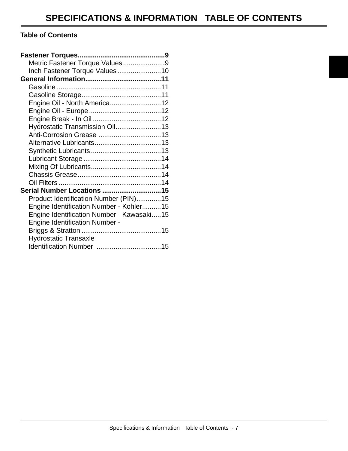#### **Table of Contents**

| Metric Fastener Torque Values9            |  |
|-------------------------------------------|--|
| Inch Fastener Torque Values10             |  |
|                                           |  |
|                                           |  |
|                                           |  |
| Engine Oil - North America12              |  |
|                                           |  |
|                                           |  |
| Hydrostatic Transmission Oil13            |  |
|                                           |  |
|                                           |  |
|                                           |  |
|                                           |  |
|                                           |  |
|                                           |  |
|                                           |  |
| Serial Number Locations 15                |  |
| Product Identification Number (PIN)15     |  |
| Engine Identification Number - Kohler15   |  |
| Engine Identification Number - Kawasaki15 |  |
| <b>Engine Identification Number -</b>     |  |
|                                           |  |
| <b>Hydrostatic Transaxle</b>              |  |
|                                           |  |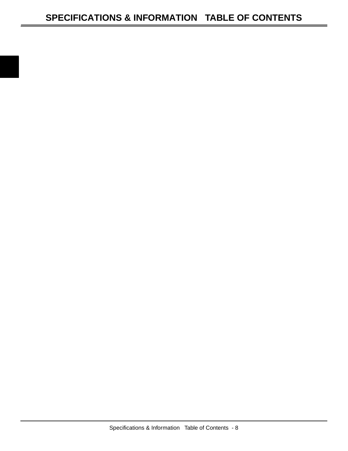

Specifications & Information Table of Contents - 8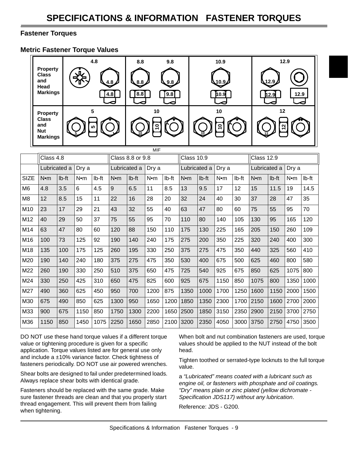#### <span id="page-13-0"></span>**Fastener Torques**

#### **Metric Fastener Torque Values**

| <b>Property</b><br><b>Class</b><br>and<br>Head<br><b>Markings</b>       | 4.8<br>4.8<br>4.8<br>o | 8.8<br>9.8<br>$\sqrt{9.8}$<br>$\sqrt{8.8}$<br>8.8<br> 9.8 | 10.9<br>$\mathcal{N}^{10.9}$<br>10.9 | 12.9<br>12.9<br>12.9<br>12.9 |
|-------------------------------------------------------------------------|------------------------|-----------------------------------------------------------|--------------------------------------|------------------------------|
| <b>Property</b><br><b>Class</b><br>and<br><b>Nut</b><br><b>Markings</b> | 5<br>ທ                 | 10<br>$\tilde{e}$                                         | 10<br>$\tilde{e}$                    | 12<br>N                      |

|                | <b>IVIIF</b> |                       |      |                       |                  |              |      |            |        |              |      |                   |      |       |      |       |
|----------------|--------------|-----------------------|------|-----------------------|------------------|--------------|------|------------|--------|--------------|------|-------------------|------|-------|------|-------|
|                | Class 4.8    |                       |      |                       | Class 8.8 or 9.8 |              |      | Class 10.9 |        |              |      | <b>Class 12.9</b> |      |       |      |       |
|                |              | Dry a<br>Lubricated a |      | Lubricated a<br>Dry a |                  | Lubricated a |      | Dry a      |        | Lubricated a |      | Dry a             |      |       |      |       |
| <b>SIZE</b>    | N•m          | lb-ft                 | N•m  | Ib-ft                 | N•m              | Ib-ft        | N•m  | Ib-ft      | $N$ •m | lb-ft        | N•m  | Ib-ft             | N•m  | Ib-ft | N•m  | Ib-ft |
| M <sub>6</sub> | 4.8          | 3.5                   | 6    | 4.5                   | $\boldsymbol{9}$ | 6.5          | 11   | 8.5        | 13     | 9.5          | 17   | 12                | 15   | 11.5  | 19   | 14.5  |
| M <sub>8</sub> | 12           | 8.5                   | 15   | 11                    | 22               | 16           | 28   | 20         | 32     | 24           | 40   | 30                | 37   | 28    | 47   | 35    |
| M10            | 23           | 17                    | 29   | 21                    | 43               | 32           | 55   | 40         | 63     | 47           | 80   | 60                | 75   | 55    | 95   | 70    |
| M12            | 40           | 29                    | 50   | 37                    | 75               | 55           | 95   | 70         | 110    | 80           | 140  | 105               | 130  | 95    | 165  | 120   |
| M14            | 63           | 47                    | 80   | 60                    | 120              | 88           | 150  | 110        | 175    | 130          | 225  | 165               | 205  | 150   | 260  | 109   |
| M16            | 100          | 73                    | 125  | 92                    | 190              | 140          | 240  | 175        | 275    | 200          | 350  | 225               | 320  | 240   | 400  | 300   |
| M18            | 135          | 100                   | 175  | 125                   | 260              | 195          | 330  | 250        | 375    | 275          | 475  | 350               | 440  | 325   | 560  | 410   |
| M20            | 190          | 140                   | 240  | 180                   | 375              | 275          | 475  | 350        | 530    | 400          | 675  | 500               | 625  | 460   | 800  | 580   |
| M22            | 260          | 190                   | 330  | 250                   | 510              | 375          | 650  | 475        | 725    | 540          | 925  | 675               | 850  | 625   | 1075 | 800   |
| M24            | 330          | 250                   | 425  | 310                   | 650              | 475          | 825  | 600        | 925    | 675          | 1150 | 850               | 1075 | 800   | 1350 | 1000  |
| M27            | 490          | 360                   | 625  | 450                   | 950              | 700          | 1200 | 875        | 1350   | 1000         | 1700 | 1250              | 1600 | 1150  | 2000 | 1500  |
| M30            | 675          | 490                   | 850  | 625                   | 1300             | 950          | 1650 | 1200       | 1850   | 1350         | 2300 | 1700              | 2150 | 1600  | 2700 | 2000  |
| M33            | 900          | 675                   | 1150 | 850                   | 1750             | 1300         | 2200 | 1650       | 2500   | 1850         | 3150 | 2350              | 2900 | 2150  | 3700 | 2750  |
| M36            | 1150         | 850                   | 1450 | 1075                  | 2250             | 1650         | 2850 | 2100       | 3200   | 2350         | 4050 | 3000              | 3750 | 2750  | 4750 | 3500  |

DO NOT use these hand torque values if a different torque value or tightening procedure is given for a specific application. Torque values listed are for general use only and include a ±10% variance factor. Check tightness of fasteners periodically. DO NOT use air powered wrenches.

Shear bolts are designed to fail under predetermined loads. Always replace shear bolts with identical grade.

Fasteners should be replaced with the same grade. Make sure fastener threads are clean and that you properly start thread engagement. This will prevent them from failing when tightening.

When bolt and nut combination fasteners are used, torque values should be applied to the NUT instead of the bolt head.

Tighten toothed or serrated-type locknuts to the full torque value.

a *"Lubricated" means coated with a lubricant such as engine oil, or fasteners with phosphate and oil coatings. "Dry" means plain or zinc plated (yellow dichromate - Specification JDS117) without any lubrication*.

Reference: JDS - G200.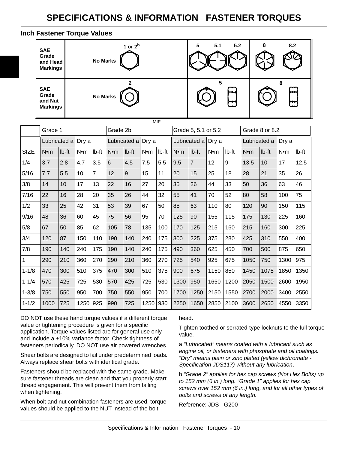#### <span id="page-14-0"></span>**Inch Fastener Torque Values**

| <b>SAE</b><br>Grade<br>and Head<br><b>Markings</b> | 1 or $2^b$<br><b>No Marks</b> | 5.2<br>5.1<br>5 | 8.2<br>8 |
|----------------------------------------------------|-------------------------------|-----------------|----------|
| <b>SAE</b><br>Grade<br>and Nut<br><b>Markings</b>  | <b>No Marks</b>               | 5               | 8        |

| <b>MIF</b>  |                       |       |      |                       |                |       |                       |                     |      |                |              |                |       |       |      |       |
|-------------|-----------------------|-------|------|-----------------------|----------------|-------|-----------------------|---------------------|------|----------------|--------------|----------------|-------|-------|------|-------|
|             | Grade 1               |       |      |                       | Grade 2b       |       |                       | Grade 5, 5.1 or 5.2 |      |                |              | Grade 8 or 8.2 |       |       |      |       |
|             | Lubricated a<br>Dry a |       |      | Lubricated a<br>Dry a |                |       | Lubricated a<br>Dry a |                     |      |                | Lubricated a |                | Dry a |       |      |       |
| <b>SIZE</b> | N•m                   | Ib-ft | N•m  | Ib-ft                 | N•m            | Ib-ft | N•m                   | Ib-ft               | N•m  | lb-ft          | N•m          | Ib-ft          | N•m   | Ib-ft | N•m  | Ib-ft |
| 1/4         | 3.7                   | 2.8   | 4.7  | 3.5                   | $6\phantom{1}$ | 4.5   | 7.5                   | 5.5                 | 9.5  | $\overline{7}$ | 12           | 9              | 13.5  | 10    | 17   | 12.5  |
| 5/16        | 7.7                   | 5.5   | 10   | $\overline{7}$        | 12             | 9     | 15                    | 11                  | 20   | 15             | 25           | 18             | 28    | 21    | 35   | 26    |
| 3/8         | 14                    | 10    | 17   | 13                    | 22             | 16    | 27                    | 20                  | 35   | 26             | 44           | 33             | 50    | 36    | 63   | 46    |
| 7/16        | 22                    | 16    | 28   | 20                    | 35             | 26    | 44                    | 32                  | 55   | 41             | 70           | 52             | 80    | 58    | 100  | 75    |
| 1/2         | 33                    | 25    | 42   | 31                    | 53             | 39    | 67                    | 50                  | 85   | 63             | 110          | 80             | 120   | 90    | 150  | 115   |
| 9/16        | 48                    | 36    | 60   | 45                    | 75             | 56    | 95                    | 70                  | 125  | 90             | 155          | 115            | 175   | 130   | 225  | 160   |
| 5/8         | 67                    | 50    | 85   | 62                    | 105            | 78    | 135                   | 100                 | 170  | 125            | 215          | 160            | 215   | 160   | 300  | 225   |
| 3/4         | 120                   | 87    | 150  | 110                   | 190            | 140   | 240                   | 175                 | 300  | 225            | 375          | 280            | 425   | 310   | 550  | 400   |
| 7/8         | 190                   | 140   | 240  | 175                   | 190            | 140   | 240                   | 175                 | 490  | 360            | 625          | 450            | 700   | 500   | 875  | 650   |
| 1           | 290                   | 210   | 360  | 270                   | 290            | 210   | 360                   | 270                 | 725  | 540            | 925          | 675            | 1050  | 750   | 1300 | 975   |
| $1 - 1/8$   | 470                   | 300   | 510  | 375                   | 470            | 300   | 510                   | 375                 | 900  | 675            | 1150         | 850            | 1450  | 1075  | 1850 | 1350  |
| $1 - 1/4$   | 570                   | 425   | 725  | 530                   | 570            | 425   | 725                   | 530                 | 1300 | 950            | 1650         | 1200           | 2050  | 1500  | 2600 | 1950  |
| $1 - 3/8$   | 750                   | 550   | 950  | 700                   | 750            | 550   | 950                   | 700                 | 1700 | 1250           | 2150         | 1550           | 2700  | 2000  | 3400 | 2550  |
| $1 - 1/2$   | 1000                  | 725   | 1250 | 925                   | 990            | 725   | 1250                  | 930                 | 2250 | 1650           | 2850         | 2100           | 3600  | 2650  | 4550 | 3350  |

DO NOT use these hand torque values if a different torque value or tightening procedure is given for a specific application. Torque values listed are for general use only and include a ±10% variance factor. Check tightness of fasteners periodically. DO NOT use air powered wrenches.

Shear bolts are designed to fail under predetermined loads. Always replace shear bolts with identical grade.

Fasteners should be replaced with the same grade. Make sure fastener threads are clean and that you properly start thread engagement. This will prevent them from failing when tightening.

When bolt and nut combination fasteners are used, torque values should be applied to the NUT instead of the bolt

#### head.

Tighten toothed or serrated-type locknuts to the full torque value.

a *"Lubricated" means coated with a lubricant such as engine oil, or fasteners with phosphate and oil coatings. "Dry" means plain or zinc plated (yellow dichromate - Specification JDS117) without any lubrication*.

b *"Grade 2" applies for hex cap screws (Not Hex Bolts) up to 152 mm (6 in.) long. "Grade 1" applies for hex cap screws over 152 mm (6 in.) long, and for all other types of bolts and screws of any length.*

Reference: JDS - G200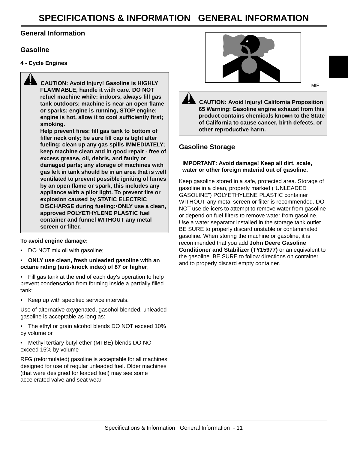## **SPECIFICATIONS & INFORMATION GENERAL INFORMATION**

#### <span id="page-15-0"></span>**General Information**

#### **Gasoline**

#### **4 - Cycle Engines**

c **CAUTION: Avoid Injury! Gasoline is HIGHLY FLAMMABLE, handle it with care. DO NOT refuel machine while: indoors, always fill gas tank outdoors; machine is near an open flame or sparks; engine is running, STOP engine; engine is hot, allow it to cool sufficiently first; smoking.** 

**Help prevent fires: fill gas tank to bottom of filler neck only; be sure fill cap is tight after fueling; clean up any gas spills IMMEDIATELY; keep machine clean and in good repair - free of excess grease, oil, debris, and faulty or damaged parts; any storage of machines with gas left in tank should be in an area that is well ventilated to prevent possible igniting of fumes by an open flame or spark, this includes any appliance with a pilot light. To prevent fire or explosion caused by STATIC ELECTRIC DISCHARGE during fueling:•ONLY use a clean, approved POLYETHYLENE PLASTIC fuel container and funnel WITHOUT any metal screen or filter.**

#### **To avoid engine damage:**

- DO NOT mix oil with gasoline;
- **ONLY use clean, fresh unleaded gasoline with an octane rating (anti-knock index) of 87 or higher**;
- Fill gas tank at the end of each day's operation to help prevent condensation from forming inside a partially filled tank;
- Keep up with specified service intervals.

Use of alternative oxygenated, gasohol blended, unleaded gasoline is acceptable as long as:

- The ethyl or grain alcohol blends DO NOT exceed 10% by volume or
- Methyl tertiary butyl ether (MTBE) blends DO NOT exceed 15% by volume

RFG (reformulated) gasoline is acceptable for all machines designed for use of regular unleaded fuel. Older machines (that were designed for leaded fuel) may see some accelerated valve and seat wear.



MIF

c **CAUTION: Avoid Injury! California Proposition 65 Warning: Gasoline engine exhaust from this product contains chemicals known to the State of California to cause cancer, birth defects, or other reproductive harm.**

#### **Gasoline Storage**

**IMPORTANT: Avoid damage! Keep all dirt, scale, water or other foreign material out of gasoline.**

Keep gasoline stored in a safe, protected area. Storage of gasoline in a clean, properly marked ("UNLEADED GASOLINE") POLYETHYLENE PLASTIC container WITHOUT any metal screen or filter is recommended. DO NOT use de-icers to attempt to remove water from gasoline or depend on fuel filters to remove water from gasoline. Use a water separator installed in the storage tank outlet. BE SURE to properly discard unstable or contaminated gasoline. When storing the machine or gasoline, it is recommended that you add **John Deere Gasoline Conditioner and Stabilizer (TY15977)** or an equivalent to the gasoline. BE SURE to follow directions on container and to properly discard empty container.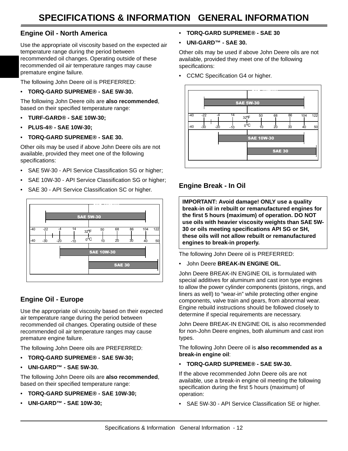#### <span id="page-16-0"></span>**Engine Oil - North America**

Use the appropriate oil viscosity based on the expected air temperature range during the period between recommended oil changes. Operating outside of these recommended oil air temperature ranges may cause premature engine failure.

The following John Deere oil is PREFERRED:

• **TORQ-GARD SUPREME® - SAE 5W-30.**

The following John Deere oils are **also recommended**, based on their specified temperature range:

- **TURF-GARD® SAE 10W-30;**
- **PLUS-4® SAE 10W-30;**
- **TORQ-GARD SUPREME® SAE 30.**

Other oils may be used if above John Deere oils are not available, provided they meet one of the following specifications:

- SAE 5W-30 API Service Classification SG or higher;
- SAE 10W-30 API Service Classification SG or higher;
- SAE 30 API Service Classification SC or higher.



## **Engine Oil - Europe**

Use the appropriate oil viscosity based on their expected air temperature range during the period between recommended oil changes. Operating outside of these recommended oil air temperature ranges may cause premature engine failure.

The following John Deere oils are PREFERRED:

- **TORQ-GARD SUPREME® SAE 5W-30;**
- **UNI-GARD™ SAE 5W-30.**

The following John Deere oils are **also recommended**, based on their specified temperature range:

- **TORQ-GARD SUPREME® SAE 10W-30;**
- **UNI-GARD™ SAE 10W-30;**

• **TORQ-GARD SUPREME® - SAE 30**

#### • **UNI-GARD™ - SAE 30.**

Other oils may be used if above John Deere oils are not available, provided they meet one of the following specifications:

• CCMC Specification G4 or higher.



## **Engine Break - In Oil**

**IMPORTANT: Avoid damage! ONLY use a quality break-in oil in rebuilt or remanufactured engines for the first 5 hours (maximum) of operation. DO NOT use oils with heavier viscosity weights than SAE 5W-30 or oils meeting specifications API SG or SH, these oils will not allow rebuilt or remanufactured engines to break-in properly.**

The following John Deere oil is PREFERRED:

• John Deere **BREAK-IN ENGINE OIL**.

John Deere BREAK-IN ENGINE OIL is formulated with special additives for aluminum and cast iron type engines to allow the power cylinder components (pistons, rings, and liners as well) to "wear-in" while protecting other engine components, valve train and gears, from abnormal wear. Engine rebuild instructions should be followed closely to determine if special requirements are necessary.

John Deere BREAK-IN ENGINE OIL is also recommended for non-John Deere engines, both aluminum and cast iron types.

The following John Deere oil is **also recommended as a break-in engine oil**:

#### • **TORQ-GARD SUPREME® - SAE 5W-30.**

If the above recommended John Deere oils are not available, use a break-in engine oil meeting the following specification during the first 5 hours (maximum) of operation:

• SAE 5W-30 - API Service Classification SE or higher.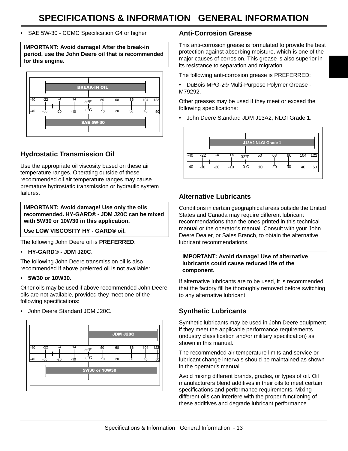<span id="page-17-0"></span>SAE 5W-30 - CCMC Specification G4 or higher.

**IMPORTANT: Avoid damage! After the break-in period, use the John Deere oil that is recommended for this engine.**



## **Hydrostatic Transmission Oil**

Use the appropriate oil viscosity based on these air temperature ranges. Operating outside of these recommended oil air temperature ranges may cause premature hydrostatic transmission or hydraulic system failures.

**IMPORTANT: Avoid damage! Use only the oils recommended. HY-GARD® - JDM J20C can be mixed with 5W30 or 10W30 in this application.**

**Use LOW VISCOSITY HY - GARD® oil.** 

The following John Deere oil is **PREFERRED**:

• **HY-GARD® - JDM J20C**.

The following John Deere transmission oil is also recommended if above preferred oil is not available:

• **5W30 or 10W30.**

Other oils may be used if above recommended John Deere oils are not available, provided they meet one of the following specifications:

• John Deere Standard JDM J20C.



#### **Anti-Corrosion Grease**

This anti-corrosion grease is formulated to provide the best protection against absorbing moisture, which is one of the major causes of corrosion. This grease is also superior in its resistance to separation and migration.

The following anti-corrosion grease is PREFERRED:

• DuBois MPG-2® Multi-Purpose Polymer Grease - M79292.

Other greases may be used if they meet or exceed the following specifications:

• John Deere Standard JDM J13A2, NLGI Grade 1.



## **Alternative Lubricants**

Conditions in certain geographical areas outside the United States and Canada may require different lubricant recommendations than the ones printed in this technical manual or the operator's manual. Consult with your John Deere Dealer, or Sales Branch, to obtain the alternative lubricant recommendations.

**IMPORTANT: Avoid damage! Use of alternative lubricants could cause reduced life of the component.**

If alternative lubricants are to be used, it is recommended that the factory fill be thoroughly removed before switching to any alternative lubricant.

## **Synthetic Lubricants**

Synthetic lubricants may be used in John Deere equipment if they meet the applicable performance requirements (industry classification and/or military specification) as shown in this manual.

The recommended air temperature limits and service or lubricant change intervals should be maintained as shown in the operator's manual.

Avoid mixing different brands, grades, or types of oil. Oil manufacturers blend additives in their oils to meet certain specifications and performance requirements. Mixing different oils can interfere with the proper functioning of these additives and degrade lubricant performance.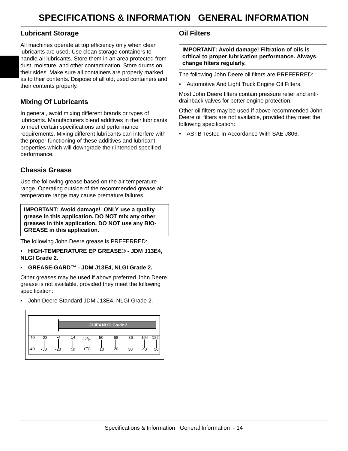#### <span id="page-18-0"></span>**Lubricant Storage**

All machines operate at top efficiency only when clean lubricants are used. Use clean storage containers to handle all lubricants. Store them in an area protected from dust, moisture, and other contamination. Store drums on their sides. Make sure all containers are properly marked as to their contents. Dispose of all old, used containers and their contents properly.

## **Mixing Of Lubricants**

In general, avoid mixing different brands or types of lubricants. Manufacturers blend additives in their lubricants to meet certain specifications and performance requirements. Mixing different lubricants can interfere with the proper functioning of these additives and lubricant properties which will downgrade their intended specified performance.

## **Chassis Grease**

Use the following grease based on the air temperature range. Operating outside of the recommended grease air temperature range may cause premature failures.

**IMPORTANT: Avoid damage! ONLY use a quality grease in this application. DO NOT mix any other greases in this application. DO NOT use any BIO-GREASE in this application.**

The following John Deere grease is PREFERRED:

- **HIGH-TEMPERATURE EP GREASE® JDM J13E4, NLGI Grade 2.**
- **GREASE-GARD™ JDM J13E4, NLGI Grade 2.**

Other greases may be used if above preferred John Deere grease is not available, provided they meet the following specification:

• John Deere Standard JDM J13E4, NLGI Grade 2.



#### **Oil Filters**

**IMPORTANT: Avoid damage! Filtration of oils is critical to proper lubrication performance. Always change filters regularly.**

The following John Deere oil filters are PREFERRED:

• Automotive And Light Truck Engine Oil Filters.

Most John Deere filters contain pressure relief and antidrainback valves for better engine protection.

Other oil filters may be used if above recommended John Deere oil filters are not available, provided they meet the following specification:

• ASTB Tested In Accordance With SAE J806.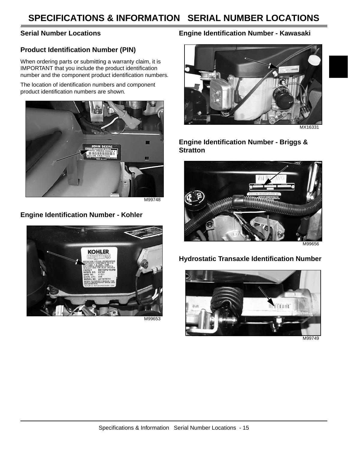## <span id="page-19-0"></span>**SPECIFICATIONS & INFORMATION SERIAL NUMBER LOCATIONS**

#### **Serial Number Locations**

#### **Product Identification Number (PIN)**

When ordering parts or submitting a warranty claim, it is IMPORTANT that you include the product identification number and the component product identification numbers.

The location of identification numbers and component product identification numbers are shown.



M99748

**Engine Identification Number - Kohler**



M99653

#### **Engine Identification Number - Kawasaki**



MX16331

#### **Engine Identification Number - Briggs & Stratton**



M99656

## **Hydrostatic Transaxle Identification Number**



M99749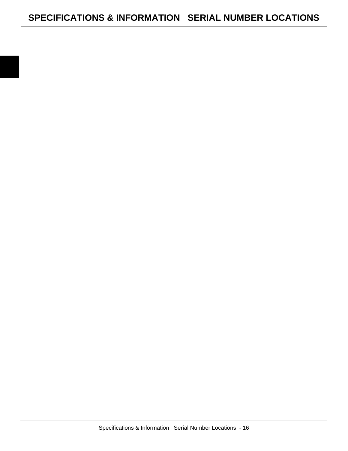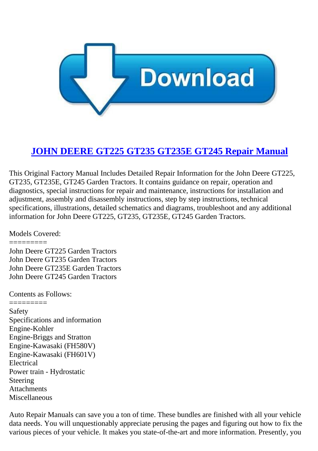

## **[JOHN DEERE GT225 GT235 GT235E GT245 Repair Manual](https://catexcavatorservicerepairmanual.com/john-deere-gt225-gt235-service-repair-manual/)**

This Original Factory Manual Includes Detailed Repair Information for the John Deere GT225, GT235, GT235E, GT245 Garden Tractors. It contains guidance on repair, operation and diagnostics, special instructions for repair and maintenance, instructions for installation and adjustment, assembly and disassembly instructions, step by step instructions, technical specifications, illustrations, detailed schematics and diagrams, troubleshoot and any additional information for John Deere GT225, GT235, GT235E, GT245 Garden Tractors.

Models Covered:

=========

John Deere GT225 Garden Tractors John Deere GT235 Garden Tractors John Deere GT235E Garden Tractors John Deere GT245 Garden Tractors

Contents as Follows:

========= Safety Specifications and information Engine-Kohler Engine-Briggs and Stratton Engine-Kawasaki (FH580V) Engine-Kawasaki (FH601V) Electrical Power train - Hydrostatic Steering Attachments **Miscellaneous** 

Auto Repair Manuals can save you a ton of time. These bundles are finished with all your vehicle data needs. You will unquestionably appreciate perusing the pages and figuring out how to fix the various pieces of your vehicle. It makes you state-of-the-art and more information. Presently, you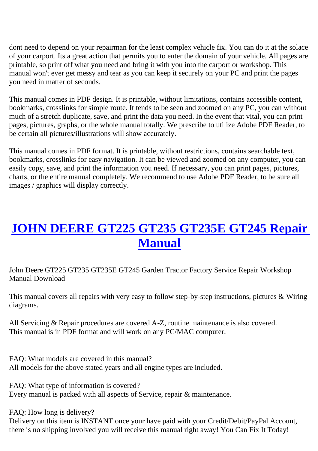dont need to depend on your repairman for the least complex vehicle fix. You can do it at the solace of your carport. Its a great action that permits you to enter the domain of your vehicle. All pages are printable, so print off what you need and bring it with you into the carport or workshop. This manual won't ever get messy and tear as you can keep it securely on your PC and print the pages you need in matter of seconds.

This manual comes in PDF design. It is printable, without limitations, contains accessible content, bookmarks, crosslinks for simple route. It tends to be seen and zoomed on any PC, you can without much of a stretch duplicate, save, and print the data you need. In the event that vital, you can print pages, pictures, graphs, or the whole manual totally. We prescribe to utilize Adobe PDF Reader, to be certain all pictures/illustrations will show accurately.

This manual comes in PDF format. It is printable, without restrictions, contains searchable text, bookmarks, crosslinks for easy navigation. It can be viewed and zoomed on any computer, you can easily copy, save, and print the information you need. If necessary, you can print pages, pictures, charts, or the entire manual completely. We recommend to use Adobe PDF Reader, to be sure all images / graphics will display correctly.

# **[JOHN DEERE GT225 GT235 GT235E GT245 Repair](https://catexcavatorservicerepairmanual.com/john-deere-gt225-gt235-service-repair-manual/)  [Manual](https://catexcavatorservicerepairmanual.com/john-deere-gt225-gt235-service-repair-manual/)**

John Deere GT225 GT235 GT235E GT245 Garden Tractor Factory Service Repair Workshop Manual Download

This manual covers all repairs with very easy to follow step-by-step instructions, pictures & Wiring diagrams.

All Servicing & Repair procedures are covered A-Z, routine maintenance is also covered. This manual is in PDF format and will work on any PC/MAC computer.

FAQ: What models are covered in this manual? All models for the above stated years and all engine types are included.

FAQ: What type of information is covered? Every manual is packed with all aspects of Service, repair & maintenance.

FAQ: How long is delivery?

Delivery on this item is INSTANT once your have paid with your Credit/Debit/PayPal Account, there is no shipping involved you will receive this manual right away! You Can Fix It Today!